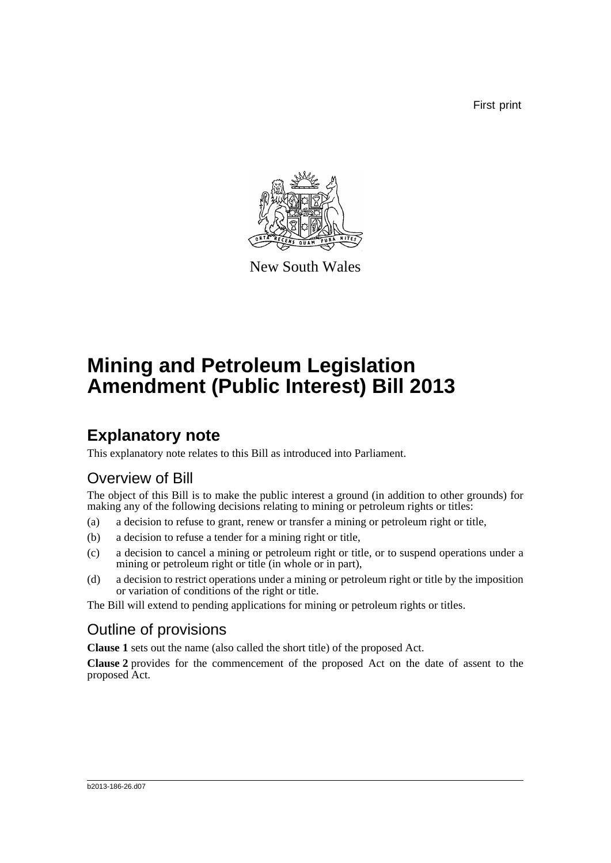First print



New South Wales

# **Mining and Petroleum Legislation Amendment (Public Interest) Bill 2013**

## **Explanatory note**

This explanatory note relates to this Bill as introduced into Parliament.

## Overview of Bill

The object of this Bill is to make the public interest a ground (in addition to other grounds) for making any of the following decisions relating to mining or petroleum rights or titles:

- (a) a decision to refuse to grant, renew or transfer a mining or petroleum right or title,
- (b) a decision to refuse a tender for a mining right or title,
- (c) a decision to cancel a mining or petroleum right or title, or to suspend operations under a mining or petroleum right or title (in whole or in part),
- (d) a decision to restrict operations under a mining or petroleum right or title by the imposition or variation of conditions of the right or title.

The Bill will extend to pending applications for mining or petroleum rights or titles.

## Outline of provisions

**Clause 1** sets out the name (also called the short title) of the proposed Act.

**Clause 2** provides for the commencement of the proposed Act on the date of assent to the proposed Act.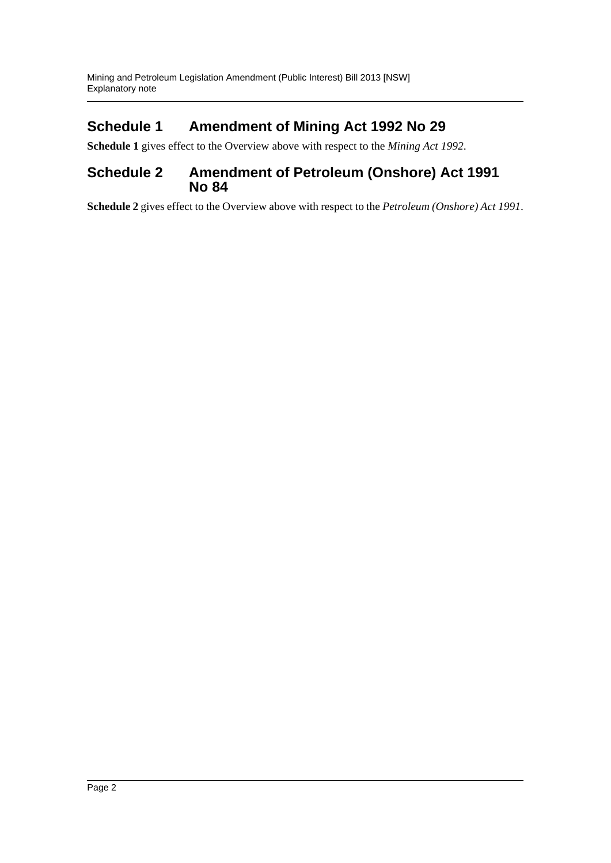### **Schedule 1 Amendment of Mining Act 1992 No 29**

**Schedule 1** gives effect to the Overview above with respect to the *Mining Act 1992*.

#### **Schedule 2 Amendment of Petroleum (Onshore) Act 1991 No 84**

**Schedule 2** gives effect to the Overview above with respect to the *Petroleum (Onshore) Act 1991*.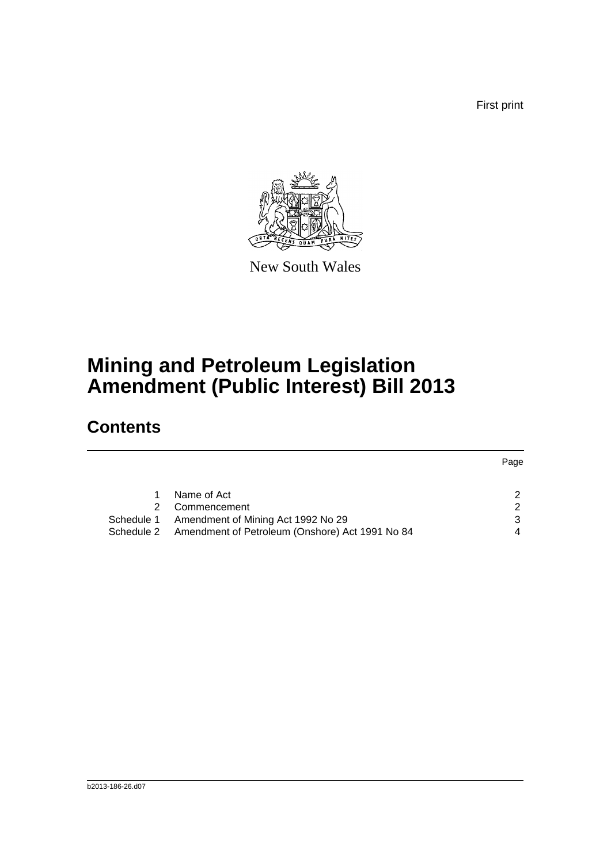First print

Page



New South Wales

# **Mining and Petroleum Legislation Amendment (Public Interest) Bill 2013**

## **Contents**

|                                                               | raye          |
|---------------------------------------------------------------|---------------|
|                                                               |               |
| Name of Act                                                   |               |
| Commencement                                                  | $\mathcal{P}$ |
| Amendment of Mining Act 1992 No 29<br>Schedule 1              | 3             |
| Amendment of Petroleum (Onshore) Act 1991 No 84<br>Schedule 2 | 4             |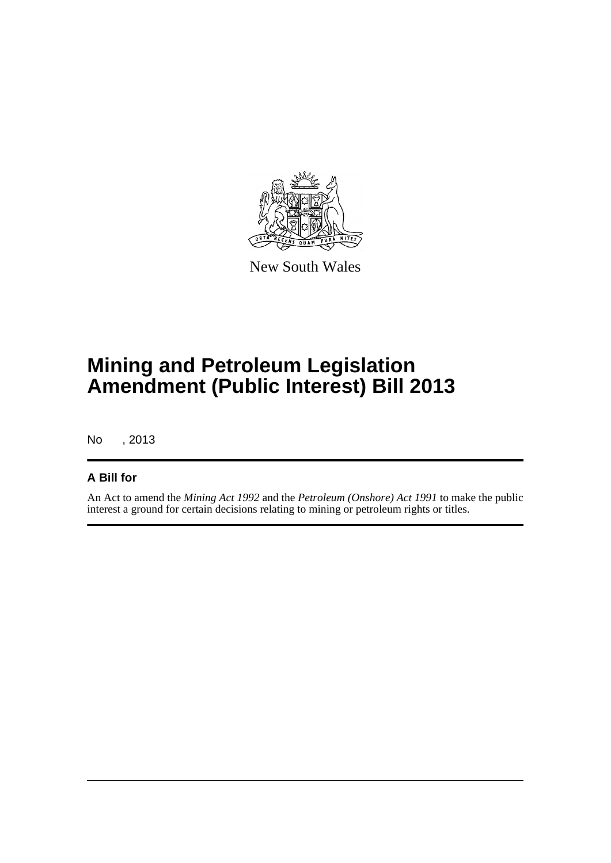

New South Wales

# **Mining and Petroleum Legislation Amendment (Public Interest) Bill 2013**

No , 2013

#### **A Bill for**

An Act to amend the *Mining Act 1992* and the *Petroleum (Onshore) Act 1991* to make the public interest a ground for certain decisions relating to mining or petroleum rights or titles.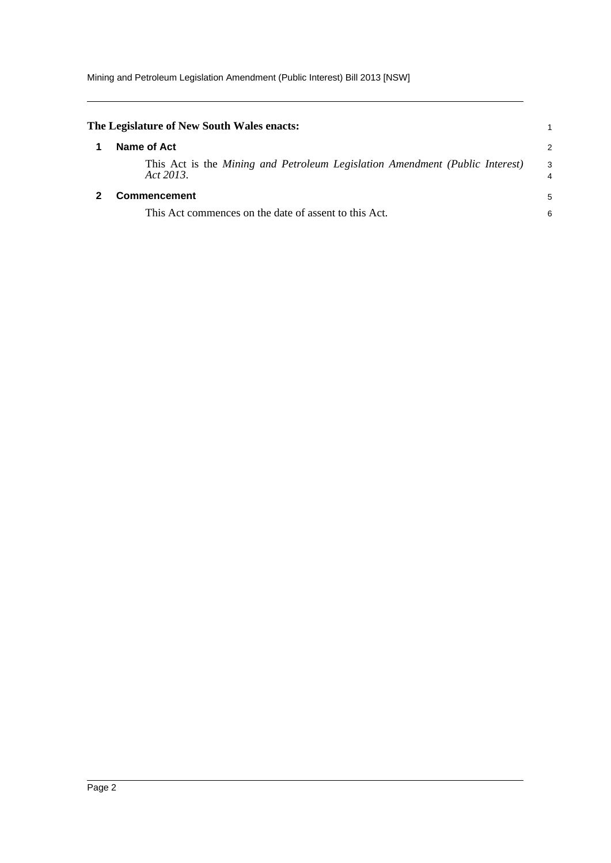<span id="page-4-1"></span><span id="page-4-0"></span>

| The Legislature of New South Wales enacts:                                                |        |
|-------------------------------------------------------------------------------------------|--------|
| Name of Act                                                                               | 2      |
| This Act is the Mining and Petroleum Legislation Amendment (Public Interest)<br>Act 2013. | 3<br>4 |
| <b>Commencement</b>                                                                       | 5      |
| This Act commences on the date of assent to this Act.                                     | 6      |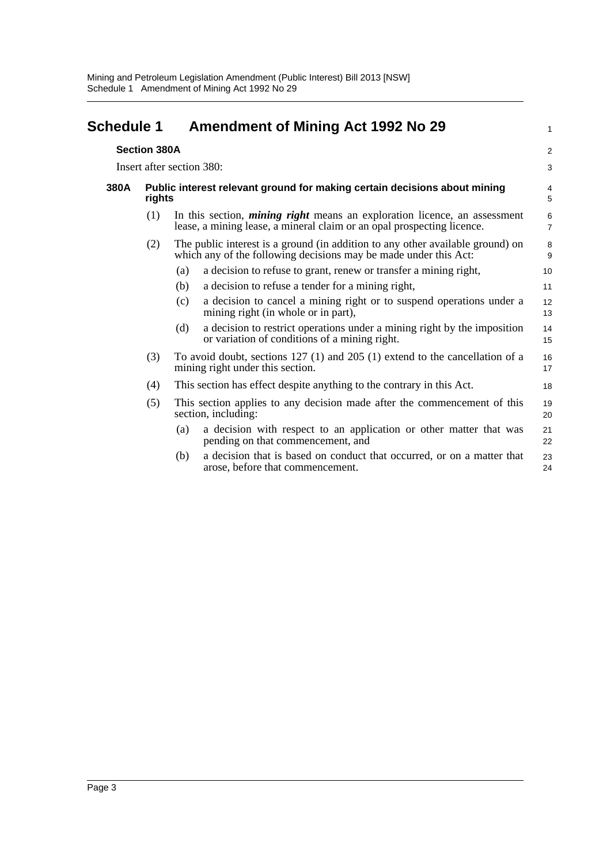<span id="page-5-0"></span>

| <b>Schedule 1</b> |                     | <b>Amendment of Mining Act 1992 No 29</b>                                           |                                                                                                                                                            |                     |  |  |
|-------------------|---------------------|-------------------------------------------------------------------------------------|------------------------------------------------------------------------------------------------------------------------------------------------------------|---------------------|--|--|
|                   | <b>Section 380A</b> |                                                                                     |                                                                                                                                                            | $\overline{a}$      |  |  |
|                   |                     | Insert after section 380:                                                           |                                                                                                                                                            | 3                   |  |  |
| 380A              |                     | Public interest relevant ground for making certain decisions about mining<br>rights |                                                                                                                                                            |                     |  |  |
|                   | (1)                 |                                                                                     | In this section, <i>mining right</i> means an exploration licence, an assessment<br>lease, a mining lease, a mineral claim or an opal prospecting licence. | 6<br>$\overline{7}$ |  |  |
|                   | (2)                 |                                                                                     | The public interest is a ground (in addition to any other available ground) on<br>which any of the following decisions may be made under this Act:         | 8<br>9              |  |  |
|                   |                     | (a)                                                                                 | a decision to refuse to grant, renew or transfer a mining right,                                                                                           | 10                  |  |  |
|                   |                     | (b)                                                                                 | a decision to refuse a tender for a mining right,                                                                                                          | 11                  |  |  |
|                   |                     | (c)                                                                                 | a decision to cancel a mining right or to suspend operations under a<br>mining right (in whole or in part),                                                | 12<br>13            |  |  |
|                   |                     | (d)                                                                                 | a decision to restrict operations under a mining right by the imposition<br>or variation of conditions of a mining right.                                  | 14<br>15            |  |  |
|                   | (3)                 |                                                                                     | To avoid doubt, sections $127$ (1) and $205$ (1) extend to the cancellation of a<br>mining right under this section.                                       | 16<br>17            |  |  |
|                   | (4)                 |                                                                                     | This section has effect despite anything to the contrary in this Act.                                                                                      | 18                  |  |  |
|                   | (5)                 |                                                                                     | This section applies to any decision made after the commencement of this<br>section, including:                                                            | 19<br>20            |  |  |
|                   |                     | (a)                                                                                 | a decision with respect to an application or other matter that was<br>pending on that commencement, and                                                    | 21<br>22            |  |  |
|                   |                     | (b)                                                                                 | a decision that is based on conduct that occurred, or on a matter that<br>arose, before that commencement.                                                 | 23<br>24            |  |  |
|                   |                     |                                                                                     |                                                                                                                                                            |                     |  |  |